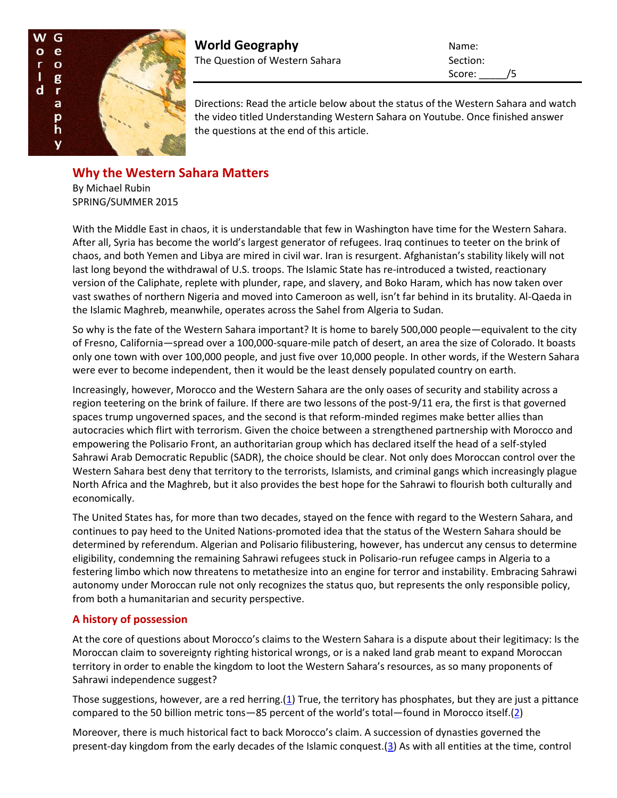

**World Geography** Name: The Question of Western Sahara Section:

Score: /5

Directions: Read the article below about the status of the Western Sahara and watch the video titled Understanding Western Sahara on Youtube. Once finished answer the questions at the end of this article.

# **Why the Western Sahara Matters**

By Michael Rubin SPRING/SUMMER 2015

With the Middle East in chaos, it is understandable that few in Washington have time for the Western Sahara. After all, Syria has become the world's largest generator of refugees. Iraq continues to teeter on the brink of chaos, and both Yemen and Libya are mired in civil war. Iran is resurgent. Afghanistan's stability likely will not last long beyond the withdrawal of U.S. troops. The Islamic State has re-introduced a twisted, reactionary version of the Caliphate, replete with plunder, rape, and slavery, and Boko Haram, which has now taken over vast swathes of northern Nigeria and moved into Cameroon as well, isn't far behind in its brutality. Al-Qaeda in the Islamic Maghreb, meanwhile, operates across the Sahel from Algeria to Sudan.

So why is the fate of the Western Sahara important? It is home to barely 500,000 people—equivalent to the city of Fresno, California—spread over a 100,000-square-mile patch of desert, an area the size of Colorado. It boasts only one town with over 100,000 people, and just five over 10,000 people. In other words, if the Western Sahara were ever to become independent, then it would be the least densely populated country on earth.

Increasingly, however, Morocco and the Western Sahara are the only oases of security and stability across a region teetering on the brink of failure. If there are two lessons of the post-9/11 era, the first is that governed spaces trump ungoverned spaces, and the second is that reform-minded regimes make better allies than autocracies which flirt with terrorism. Given the choice between a strengthened partnership with Morocco and empowering the Polisario Front, an authoritarian group which has declared itself the head of a self-styled Sahrawi Arab Democratic Republic (SADR), the choice should be clear. Not only does Moroccan control over the Western Sahara best deny that territory to the terrorists, Islamists, and criminal gangs which increasingly plague North Africa and the Maghreb, but it also provides the best hope for the Sahrawi to flourish both culturally and economically.

The United States has, for more than two decades, stayed on the fence with regard to the Western Sahara, and continues to pay heed to the United Nations-promoted idea that the status of the Western Sahara should be determined by referendum. Algerian and Polisario filibustering, however, has undercut any census to determine eligibility, condemning the remaining Sahrawi refugees stuck in Polisario-run refugee camps in Algeria to a festering limbo which now threatens to metathesize into an engine for terror and instability. Embracing Sahrawi autonomy under Moroccan rule not only recognizes the status quo, but represents the only responsible policy, from both a humanitarian and security perspective.

## **A history of possession**

At the core of questions about Morocco's claims to the Western Sahara is a dispute about their legitimacy: Is the Moroccan claim to sovereignty righting historical wrongs, or is a naked land grab meant to expand Moroccan territory in order to enable the kingdom to loot the Western Sahara's resources, as so many proponents of Sahrawi independence suggest?

Those suggestions, however, are a red herring.[\(1\)](http://www.securityaffairs.org/issues/number-28/why-western-sahara-matters#1) True, the territory has phosphates, but they are just a pittance compared to the 50 billion metric tons—85 percent of the world's total—found in Morocco itself.[\(2\)](http://www.securityaffairs.org/issues/number-28/why-western-sahara-matters#2)

Moreover, there is much historical fact to back Morocco's claim. A succession of dynasties governed the present-day kingdom from the early decades of the Islamic conquest. $(3)$  As with all entities at the time, control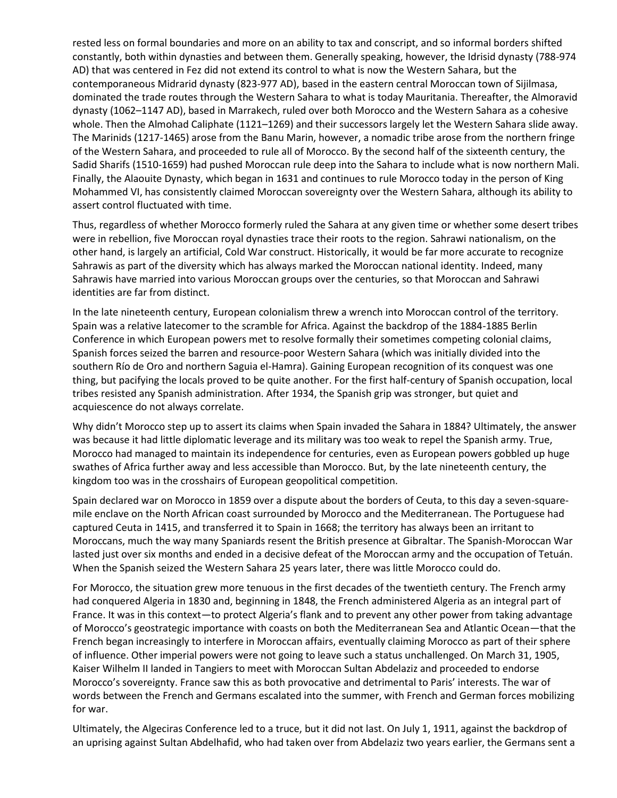rested less on formal boundaries and more on an ability to tax and conscript, and so informal borders shifted constantly, both within dynasties and between them. Generally speaking, however, the Idrisid dynasty (788-974 AD) that was centered in Fez did not extend its control to what is now the Western Sahara, but the contemporaneous Midrarid dynasty (823-977 AD), based in the eastern central Moroccan town of Sijilmasa, dominated the trade routes through the Western Sahara to what is today Mauritania. Thereafter, the Almoravid dynasty (1062–1147 AD), based in Marrakech, ruled over both Morocco and the Western Sahara as a cohesive whole. Then the Almohad Caliphate (1121–1269) and their successors largely let the Western Sahara slide away. The Marinids (1217-1465) arose from the Banu Marin, however, a nomadic tribe arose from the northern fringe of the Western Sahara, and proceeded to rule all of Morocco. By the second half of the sixteenth century, the Sadid Sharifs (1510-1659) had pushed Moroccan rule deep into the Sahara to include what is now northern Mali. Finally, the Alaouite Dynasty, which began in 1631 and continues to rule Morocco today in the person of King Mohammed VI, has consistently claimed Moroccan sovereignty over the Western Sahara, although its ability to assert control fluctuated with time.

Thus, regardless of whether Morocco formerly ruled the Sahara at any given time or whether some desert tribes were in rebellion, five Moroccan royal dynasties trace their roots to the region. Sahrawi nationalism, on the other hand, is largely an artificial, Cold War construct. Historically, it would be far more accurate to recognize Sahrawis as part of the diversity which has always marked the Moroccan national identity. Indeed, many Sahrawis have married into various Moroccan groups over the centuries, so that Moroccan and Sahrawi identities are far from distinct.

In the late nineteenth century, European colonialism threw a wrench into Moroccan control of the territory. Spain was a relative latecomer to the scramble for Africa. Against the backdrop of the 1884-1885 Berlin Conference in which European powers met to resolve formally their sometimes competing colonial claims, Spanish forces seized the barren and resource-poor Western Sahara (which was initially divided into the southern Río de Oro and northern Saguia el-Hamra). Gaining European recognition of its conquest was one thing, but pacifying the locals proved to be quite another. For the first half-century of Spanish occupation, local tribes resisted any Spanish administration. After 1934, the Spanish grip was stronger, but quiet and acquiescence do not always correlate.

Why didn't Morocco step up to assert its claims when Spain invaded the Sahara in 1884? Ultimately, the answer was because it had little diplomatic leverage and its military was too weak to repel the Spanish army. True, Morocco had managed to maintain its independence for centuries, even as European powers gobbled up huge swathes of Africa further away and less accessible than Morocco. But, by the late nineteenth century, the kingdom too was in the crosshairs of European geopolitical competition.

Spain declared war on Morocco in 1859 over a dispute about the borders of Ceuta, to this day a seven-squaremile enclave on the North African coast surrounded by Morocco and the Mediterranean. The Portuguese had captured Ceuta in 1415, and transferred it to Spain in 1668; the territory has always been an irritant to Moroccans, much the way many Spaniards resent the British presence at Gibraltar. The Spanish-Moroccan War lasted just over six months and ended in a decisive defeat of the Moroccan army and the occupation of Tetuán. When the Spanish seized the Western Sahara 25 years later, there was little Morocco could do.

For Morocco, the situation grew more tenuous in the first decades of the twentieth century. The French army had conquered Algeria in 1830 and, beginning in 1848, the French administered Algeria as an integral part of France. It was in this context—to protect Algeria's flank and to prevent any other power from taking advantage of Morocco's geostrategic importance with coasts on both the Mediterranean Sea and Atlantic Ocean—that the French began increasingly to interfere in Moroccan affairs, eventually claiming Morocco as part of their sphere of influence. Other imperial powers were not going to leave such a status unchallenged. On March 31, 1905, Kaiser Wilhelm II landed in Tangiers to meet with Moroccan Sultan Abdelaziz and proceeded to endorse Morocco's sovereignty. France saw this as both provocative and detrimental to Paris' interests. The war of words between the French and Germans escalated into the summer, with French and German forces mobilizing for war.

Ultimately, the Algeciras Conference led to a truce, but it did not last. On July 1, 1911, against the backdrop of an uprising against Sultan Abdelhafid, who had taken over from Abdelaziz two years earlier, the Germans sent a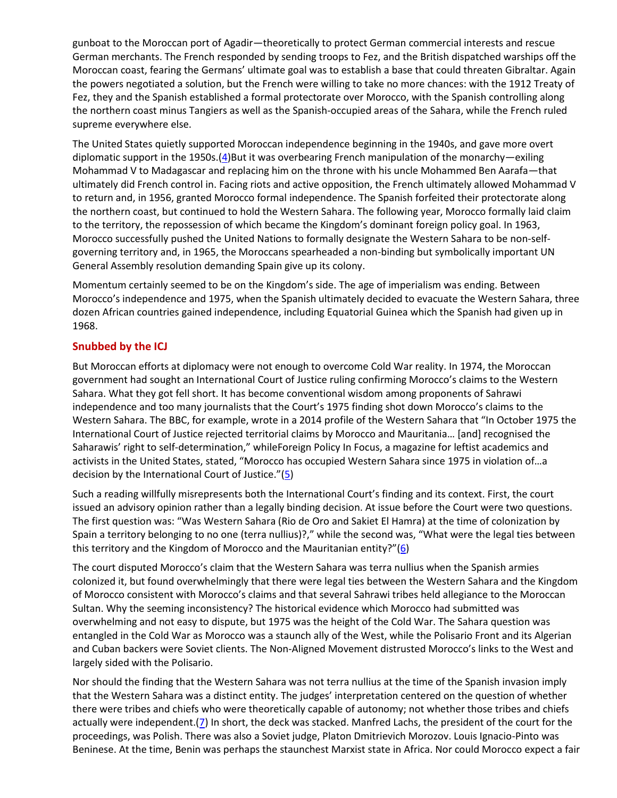gunboat to the Moroccan port of Agadir—theoretically to protect German commercial interests and rescue German merchants. The French responded by sending troops to Fez, and the British dispatched warships off the Moroccan coast, fearing the Germans' ultimate goal was to establish a base that could threaten Gibraltar. Again the powers negotiated a solution, but the French were willing to take no more chances: with the 1912 Treaty of Fez, they and the Spanish established a formal protectorate over Morocco, with the Spanish controlling along the northern coast minus Tangiers as well as the Spanish-occupied areas of the Sahara, while the French ruled supreme everywhere else.

The United States quietly supported Moroccan independence beginning in the 1940s, and gave more overt diplomatic support in the 1950s.[\(4\)](http://www.securityaffairs.org/issues/number-28/why-western-sahara-matters#4)But it was overbearing French manipulation of the monarchy—exiling Mohammad V to Madagascar and replacing him on the throne with his uncle Mohammed Ben Aarafa—that ultimately did French control in. Facing riots and active opposition, the French ultimately allowed Mohammad V to return and, in 1956, granted Morocco formal independence. The Spanish forfeited their protectorate along the northern coast, but continued to hold the Western Sahara. The following year, Morocco formally laid claim to the territory, the repossession of which became the Kingdom's dominant foreign policy goal. In 1963, Morocco successfully pushed the United Nations to formally designate the Western Sahara to be non-selfgoverning territory and, in 1965, the Moroccans spearheaded a non-binding but symbolically important UN General Assembly resolution demanding Spain give up its colony.

Momentum certainly seemed to be on the Kingdom's side. The age of imperialism was ending. Between Morocco's independence and 1975, when the Spanish ultimately decided to evacuate the Western Sahara, three dozen African countries gained independence, including Equatorial Guinea which the Spanish had given up in 1968.

### **Snubbed by the ICJ**

But Moroccan efforts at diplomacy were not enough to overcome Cold War reality. In 1974, the Moroccan government had sought an International Court of Justice ruling confirming Morocco's claims to the Western Sahara. What they got fell short. It has become conventional wisdom among proponents of Sahrawi independence and too many journalists that the Court's 1975 finding shot down Morocco's claims to the Western Sahara. The BBC, for example, wrote in a 2014 profile of the Western Sahara that "In October 1975 the International Court of Justice rejected territorial claims by Morocco and Mauritania… [and] recognised the Saharawis' right to self-determination," whileForeign Policy In Focus, a magazine for leftist academics and activists in the United States, stated, "Morocco has occupied Western Sahara since 1975 in violation of…a decision by the International Court of Justice." $(5)$  $(5)$ 

Such a reading willfully misrepresents both the International Court's finding and its context. First, the court issued an advisory opinion rather than a legally binding decision. At issue before the Court were two questions. The first question was: "Was Western Sahara (Rio de Oro and Sakiet El Hamra) at the time of colonization by Spain a territory belonging to no one (terra nullius)?," while the second was, "What were the legal ties between this territory and the Kingdom of Morocco and the Mauritanian entity?"([6\)](http://www.securityaffairs.org/issues/number-28/why-western-sahara-matters#6)

The court disputed Morocco's claim that the Western Sahara was terra nullius when the Spanish armies colonized it, but found overwhelmingly that there were legal ties between the Western Sahara and the Kingdom of Morocco consistent with Morocco's claims and that several Sahrawi tribes held allegiance to the Moroccan Sultan. Why the seeming inconsistency? The historical evidence which Morocco had submitted was overwhelming and not easy to dispute, but 1975 was the height of the Cold War. The Sahara question was entangled in the Cold War as Morocco was a staunch ally of the West, while the Polisario Front and its Algerian and Cuban backers were Soviet clients. The Non-Aligned Movement distrusted Morocco's links to the West and largely sided with the Polisario.

Nor should the finding that the Western Sahara was not terra nullius at the time of the Spanish invasion imply that the Western Sahara was a distinct entity. The judges' interpretation centered on the question of whether there were tribes and chiefs who were theoretically capable of autonomy; not whether those tribes and chiefs actually were independent.[\(7\)](http://www.securityaffairs.org/issues/number-28/why-western-sahara-matters#7) In short, the deck was stacked. Manfred Lachs, the president of the court for the proceedings, was Polish. There was also a Soviet judge, Platon Dmitrievich Morozov. Louis Ignacio-Pinto was Beninese. At the time, Benin was perhaps the staunchest Marxist state in Africa. Nor could Morocco expect a fair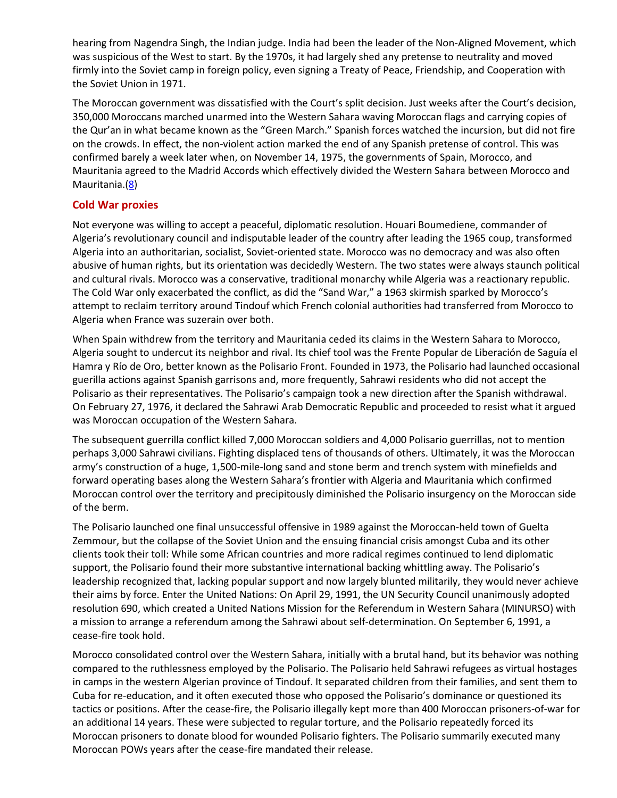hearing from Nagendra Singh, the Indian judge. India had been the leader of the Non-Aligned Movement, which was suspicious of the West to start. By the 1970s, it had largely shed any pretense to neutrality and moved firmly into the Soviet camp in foreign policy, even signing a Treaty of Peace, Friendship, and Cooperation with the Soviet Union in 1971.

The Moroccan government was dissatisfied with the Court's split decision. Just weeks after the Court's decision, 350,000 Moroccans marched unarmed into the Western Sahara waving Moroccan flags and carrying copies of the Qur'an in what became known as the "Green March." Spanish forces watched the incursion, but did not fire on the crowds. In effect, the non-violent action marked the end of any Spanish pretense of control. This was confirmed barely a week later when, on November 14, 1975, the governments of Spain, Morocco, and Mauritania agreed to the Madrid Accords which effectively divided the Western Sahara between Morocco and Mauritania.[\(8\)](http://www.securityaffairs.org/issues/number-28/why-western-sahara-matters#8)

#### **Cold War proxies**

Not everyone was willing to accept a peaceful, diplomatic resolution. Houari Boumediene, commander of Algeria's revolutionary council and indisputable leader of the country after leading the 1965 coup, transformed Algeria into an authoritarian, socialist, Soviet-oriented state. Morocco was no democracy and was also often abusive of human rights, but its orientation was decidedly Western. The two states were always staunch political and cultural rivals. Morocco was a conservative, traditional monarchy while Algeria was a reactionary republic. The Cold War only exacerbated the conflict, as did the "Sand War," a 1963 skirmish sparked by Morocco's attempt to reclaim territory around Tindouf which French colonial authorities had transferred from Morocco to Algeria when France was suzerain over both.

When Spain withdrew from the territory and Mauritania ceded its claims in the Western Sahara to Morocco, Algeria sought to undercut its neighbor and rival. Its chief tool was the Frente Popular de Liberación de Saguía el Hamra y Río de Oro, better known as the Polisario Front. Founded in 1973, the Polisario had launched occasional guerilla actions against Spanish garrisons and, more frequently, Sahrawi residents who did not accept the Polisario as their representatives. The Polisario's campaign took a new direction after the Spanish withdrawal. On February 27, 1976, it declared the Sahrawi Arab Democratic Republic and proceeded to resist what it argued was Moroccan occupation of the Western Sahara.

The subsequent guerrilla conflict killed 7,000 Moroccan soldiers and 4,000 Polisario guerrillas, not to mention perhaps 3,000 Sahrawi civilians. Fighting displaced tens of thousands of others. Ultimately, it was the Moroccan army's construction of a huge, 1,500-mile-long sand and stone berm and trench system with minefields and forward operating bases along the Western Sahara's frontier with Algeria and Mauritania which confirmed Moroccan control over the territory and precipitously diminished the Polisario insurgency on the Moroccan side of the berm.

The Polisario launched one final unsuccessful offensive in 1989 against the Moroccan-held town of Guelta Zemmour, but the collapse of the Soviet Union and the ensuing financial crisis amongst Cuba and its other clients took their toll: While some African countries and more radical regimes continued to lend diplomatic support, the Polisario found their more substantive international backing whittling away. The Polisario's leadership recognized that, lacking popular support and now largely blunted militarily, they would never achieve their aims by force. Enter the United Nations: On April 29, 1991, the UN Security Council unanimously adopted resolution 690, which created a United Nations Mission for the Referendum in Western Sahara (MINURSO) with a mission to arrange a referendum among the Sahrawi about self-determination. On September 6, 1991, a cease-fire took hold.

Morocco consolidated control over the Western Sahara, initially with a brutal hand, but its behavior was nothing compared to the ruthlessness employed by the Polisario. The Polisario held Sahrawi refugees as virtual hostages in camps in the western Algerian province of Tindouf. It separated children from their families, and sent them to Cuba for re-education, and it often executed those who opposed the Polisario's dominance or questioned its tactics or positions. After the cease-fire, the Polisario illegally kept more than 400 Moroccan prisoners-of-war for an additional 14 years. These were subjected to regular torture, and the Polisario repeatedly forced its Moroccan prisoners to donate blood for wounded Polisario fighters. The Polisario summarily executed many Moroccan POWs years after the cease-fire mandated their release.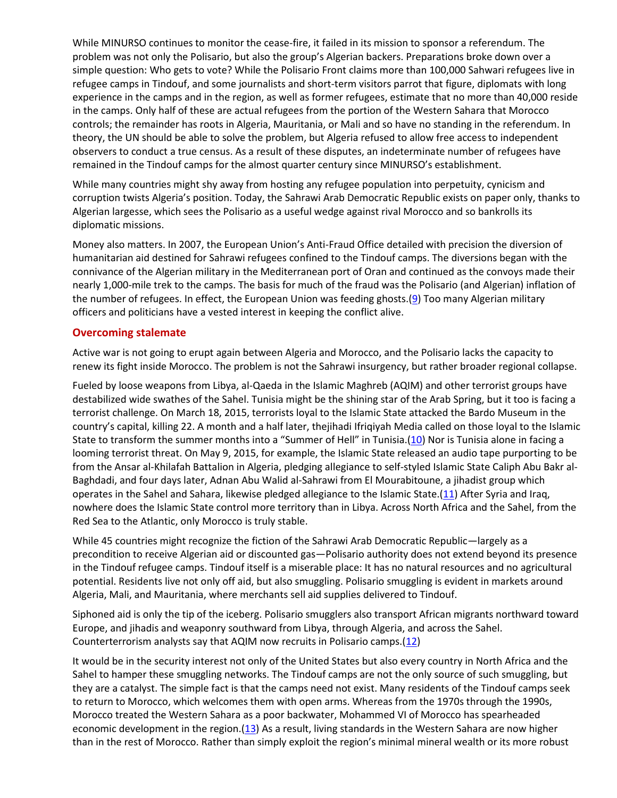While MINURSO continues to monitor the cease-fire, it failed in its mission to sponsor a referendum. The problem was not only the Polisario, but also the group's Algerian backers. Preparations broke down over a simple question: Who gets to vote? While the Polisario Front claims more than 100,000 Sahwari refugees live in refugee camps in Tindouf, and some journalists and short-term visitors parrot that figure, diplomats with long experience in the camps and in the region, as well as former refugees, estimate that no more than 40,000 reside in the camps. Only half of these are actual refugees from the portion of the Western Sahara that Morocco controls; the remainder has roots in Algeria, Mauritania, or Mali and so have no standing in the referendum. In theory, the UN should be able to solve the problem, but Algeria refused to allow free access to independent observers to conduct a true census. As a result of these disputes, an indeterminate number of refugees have remained in the Tindouf camps for the almost quarter century since MINURSO's establishment.

While many countries might shy away from hosting any refugee population into perpetuity, cynicism and corruption twists Algeria's position. Today, the Sahrawi Arab Democratic Republic exists on paper only, thanks to Algerian largesse, which sees the Polisario as a useful wedge against rival Morocco and so bankrolls its diplomatic missions.

Money also matters. In 2007, the European Union's Anti-Fraud Office detailed with precision the diversion of humanitarian aid destined for Sahrawi refugees confined to the Tindouf camps. The diversions began with the connivance of the Algerian military in the Mediterranean port of Oran and continued as the convoys made their nearly 1,000-mile trek to the camps. The basis for much of the fraud was the Polisario (and Algerian) inflation of the number of refugees. In effect, the European Union was feeding ghosts. $(9)$  Too many Algerian military officers and politicians have a vested interest in keeping the conflict alive.

### **Overcoming stalemate**

Active war is not going to erupt again between Algeria and Morocco, and the Polisario lacks the capacity to renew its fight inside Morocco. The problem is not the Sahrawi insurgency, but rather broader regional collapse.

Fueled by loose weapons from Libya, al-Qaeda in the Islamic Maghreb (AQIM) and other terrorist groups have destabilized wide swathes of the Sahel. Tunisia might be the shining star of the Arab Spring, but it too is facing a terrorist challenge. On March 18, 2015, terrorists loyal to the Islamic State attacked the Bardo Museum in the country's capital, killing 22. A month and a half later, thejihadi Ifriqiyah Media called on those loyal to the Islamic State to transform the summer months into a "Summer of Hell" in Tunisia.([10\)](http://www.securityaffairs.org/issues/number-28/why-western-sahara-matters#10) Nor is Tunisia alone in facing a looming terrorist threat. On May 9, 2015, for example, the Islamic State released an audio tape purporting to be from the Ansar al-Khilafah Battalion in Algeria, pledging allegiance to self-styled Islamic State Caliph Abu Bakr al-Baghdadi, and four days later, Adnan Abu Walid al-Sahrawi from El Mourabitoune, a jihadist group which operates in the Sahel and Sahara, likewise pledged allegiance to the Islamic State.[\(11\)](http://www.securityaffairs.org/issues/number-28/why-western-sahara-matters#11) After Syria and Iraq, nowhere does the Islamic State control more territory than in Libya. Across North Africa and the Sahel, from the Red Sea to the Atlantic, only Morocco is truly stable.

While 45 countries might recognize the fiction of the Sahrawi Arab Democratic Republic—largely as a precondition to receive Algerian aid or discounted gas—Polisario authority does not extend beyond its presence in the Tindouf refugee camps. Tindouf itself is a miserable place: It has no natural resources and no agricultural potential. Residents live not only off aid, but also smuggling. Polisario smuggling is evident in markets around Algeria, Mali, and Mauritania, where merchants sell aid supplies delivered to Tindouf.

Siphoned aid is only the tip of the iceberg. Polisario smugglers also transport African migrants northward toward Europe, and jihadis and weaponry southward from Libya, through Algeria, and across the Sahel. Counterterrorism analysts say that AQIM now recruits in Polisario camps.[\(12\)](http://www.securityaffairs.org/issues/number-28/why-western-sahara-matters#12)

It would be in the security interest not only of the United States but also every country in North Africa and the Sahel to hamper these smuggling networks. The Tindouf camps are not the only source of such smuggling, but they are a catalyst. The simple fact is that the camps need not exist. Many residents of the Tindouf camps seek to return to Morocco, which welcomes them with open arms. Whereas from the 1970s through the 1990s, Morocco treated the Western Sahara as a poor backwater, Mohammed VI of Morocco has spearheaded economic development in the region.[\(13\)](http://www.securityaffairs.org/issues/number-28/why-western-sahara-matters#13) As a result, living standards in the Western Sahara are now higher than in the rest of Morocco. Rather than simply exploit the region's minimal mineral wealth or its more robust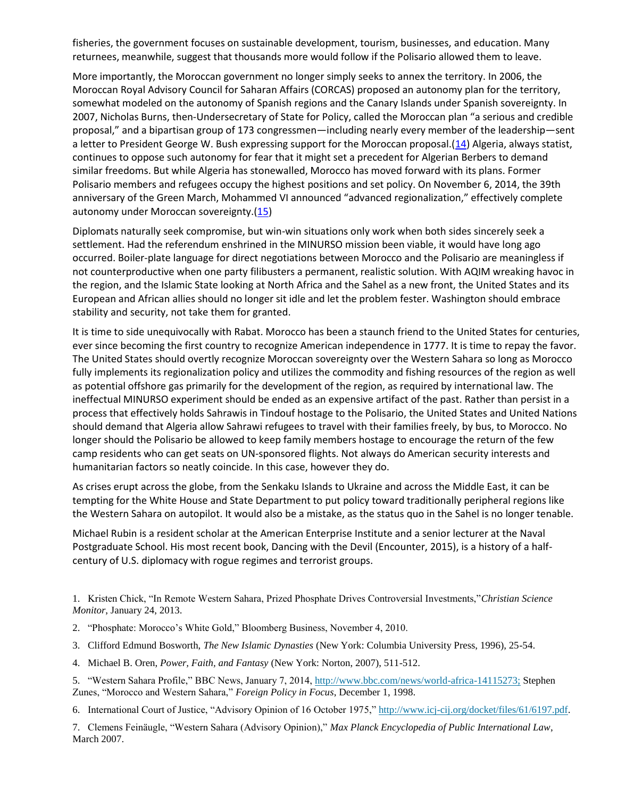fisheries, the government focuses on sustainable development, tourism, businesses, and education. Many returnees, meanwhile, suggest that thousands more would follow if the Polisario allowed them to leave.

More importantly, the Moroccan government no longer simply seeks to annex the territory. In 2006, the Moroccan Royal Advisory Council for Saharan Affairs (CORCAS) proposed an autonomy plan for the territory, somewhat modeled on the autonomy of Spanish regions and the Canary Islands under Spanish sovereignty. In 2007, Nicholas Burns, then-Undersecretary of State for Policy, called the Moroccan plan "a serious and credible proposal," and a bipartisan group of 173 congressmen—including nearly every member of the leadership—sent a letter to President George W. Bush expressing support for the Moroccan proposal.[\(14\)](http://www.securityaffairs.org/issues/number-28/why-western-sahara-matters#14) Algeria, always statist, continues to oppose such autonomy for fear that it might set a precedent for Algerian Berbers to demand similar freedoms. But while Algeria has stonewalled, Morocco has moved forward with its plans. Former Polisario members and refugees occupy the highest positions and set policy. On November 6, 2014, the 39th anniversary of the Green March, Mohammed VI announced "advanced regionalization," effectively complete autonomy under Moroccan sovereignty.[\(15\)](http://www.securityaffairs.org/issues/number-28/why-western-sahara-matters#15)

Diplomats naturally seek compromise, but win-win situations only work when both sides sincerely seek a settlement. Had the referendum enshrined in the MINURSO mission been viable, it would have long ago occurred. Boiler-plate language for direct negotiations between Morocco and the Polisario are meaningless if not counterproductive when one party filibusters a permanent, realistic solution. With AQIM wreaking havoc in the region, and the Islamic State looking at North Africa and the Sahel as a new front, the United States and its European and African allies should no longer sit idle and let the problem fester. Washington should embrace stability and security, not take them for granted.

It is time to side unequivocally with Rabat. Morocco has been a staunch friend to the United States for centuries, ever since becoming the first country to recognize American independence in 1777. It is time to repay the favor. The United States should overtly recognize Moroccan sovereignty over the Western Sahara so long as Morocco fully implements its regionalization policy and utilizes the commodity and fishing resources of the region as well as potential offshore gas primarily for the development of the region, as required by international law. The ineffectual MINURSO experiment should be ended as an expensive artifact of the past. Rather than persist in a process that effectively holds Sahrawis in Tindouf hostage to the Polisario, the United States and United Nations should demand that Algeria allow Sahrawi refugees to travel with their families freely, by bus, to Morocco. No longer should the Polisario be allowed to keep family members hostage to encourage the return of the few camp residents who can get seats on UN-sponsored flights. Not always do American security interests and humanitarian factors so neatly coincide. In this case, however they do.

As crises erupt across the globe, from the Senkaku Islands to Ukraine and across the Middle East, it can be tempting for the White House and State Department to put policy toward traditionally peripheral regions like the Western Sahara on autopilot. It would also be a mistake, as the status quo in the Sahel is no longer tenable.

Michael Rubin is a resident scholar at the American Enterprise Institute and a senior lecturer at the Naval Postgraduate School. His most recent book, Dancing with the Devil (Encounter, 2015), is a history of a halfcentury of U.S. diplomacy with rogue regimes and terrorist groups.

1. Kristen Chick, "In Remote Western Sahara, Prized Phosphate Drives Controversial Investments,"*Christian Science Monitor*, January 24, 2013.

- 2. "Phosphate: Morocco's White Gold," Bloomberg Business, November 4, 2010.
- 3. Clifford Edmund Bosworth, *The New Islamic Dynasties* (New York: Columbia University Press, 1996), 25-54.
- 4. Michael B. Oren, *Power, Faith, and Fantasy* (New York: Norton, 2007), 511-512.
- 5. "Western Sahara Profile," BBC News, January 7, 2014, <http://www.bbc.com/news/world-africa-14115273;> Stephen Zunes, "Morocco and Western Sahara," *Foreign Policy in Focus*, December 1, 1998.

6. International Court of Justice, "Advisory Opinion of 16 October 1975," [http://www.icj-cij.org/docket/files/61/6197.pdf.](http://www.icj-cij.org/docket/files/61/6197.pdf)

7. Clemens Feinäugle, "Western Sahara (Advisory Opinion)," *Max Planck Encyclopedia of Public International Law*, March 2007.